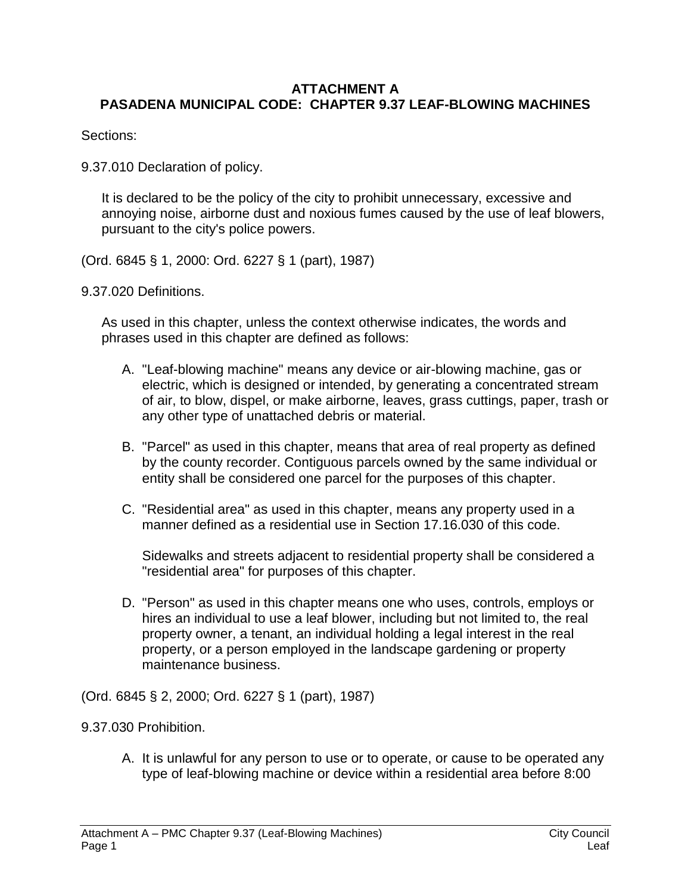## **ATTACHMENT A PASADENA MUNICIPAL CODE: CHAPTER 9.37 LEAF-BLOWING MACHINES**

Sections:

9.37.010 Declaration of policy.

It is declared to be the policy of the city to prohibit unnecessary, excessive and annoying noise, airborne dust and noxious fumes caused by the use of leaf blowers, pursuant to the city's police powers.

(Ord. 6845 § 1, 2000: Ord. 6227 § 1 (part), 1987)

9.37.020 Definitions.

As used in this chapter, unless the context otherwise indicates, the words and phrases used in this chapter are defined as follows:

- A. "Leaf-blowing machine" means any device or air-blowing machine, gas or electric, which is designed or intended, by generating a concentrated stream of air, to blow, dispel, or make airborne, leaves, grass cuttings, paper, trash or any other type of unattached debris or material.
- B. "Parcel" as used in this chapter, means that area of real property as defined by the county recorder. Contiguous parcels owned by the same individual or entity shall be considered one parcel for the purposes of this chapter.
- C. "Residential area" as used in this chapter, means any property used in a manner defined as a residential use in Section 17.16.030 of this code.

Sidewalks and streets adjacent to residential property shall be considered a "residential area" for purposes of this chapter.

D. "Person" as used in this chapter means one who uses, controls, employs or hires an individual to use a leaf blower, including but not limited to, the real property owner, a tenant, an individual holding a legal interest in the real property, or a person employed in the landscape gardening or property maintenance business.

(Ord. 6845 § 2, 2000; Ord. 6227 § 1 (part), 1987)

9.37.030 Prohibition.

A. It is unlawful for any person to use or to operate, or cause to be operated any type of leaf-blowing machine or device within a residential area before 8:00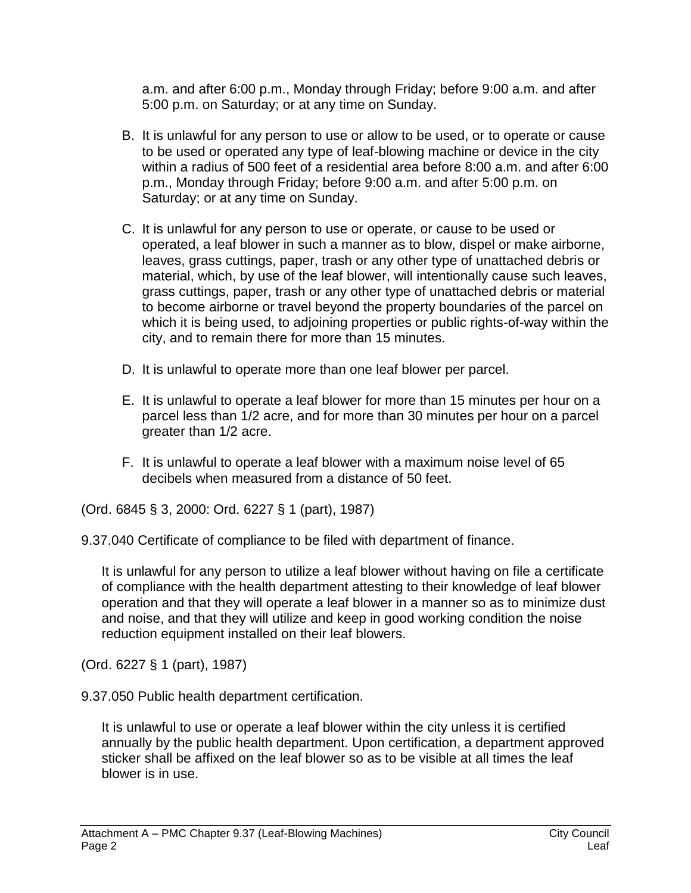a.m. and after 6:00 p.m., Monday through Friday; before 9:00 a.m. and after 5:00 p.m. on Saturday; or at any time on Sunday.

- B. It is unlawful for any person to use or allow to be used, or to operate or cause to be used or operated any type of leaf-blowing machine or device in the city within a radius of 500 feet of a residential area before 8:00 a.m. and after 6:00 p.m., Monday through Friday; before 9:00 a.m. and after 5:00 p.m. on Saturday; or at any time on Sunday.
- C. It is unlawful for any person to use or operate, or cause to be used or operated, a leaf blower in such a manner as to blow, dispel or make airborne, leaves, grass cuttings, paper, trash or any other type of unattached debris or material, which, by use of the leaf blower, will intentionally cause such leaves, grass cuttings, paper, trash or any other type of unattached debris or material to become airborne or travel beyond the property boundaries of the parcel on which it is being used, to adjoining properties or public rights-of-way within the city, and to remain there for more than 15 minutes.
- D. It is unlawful to operate more than one leaf blower per parcel.
- E. It is unlawful to operate a leaf blower for more than 15 minutes per hour on a parcel less than 1/2 acre, and for more than 30 minutes per hour on a parcel greater than 1/2 acre.
- F. It is unlawful to operate a leaf blower with a maximum noise level of 65 decibels when measured from a distance of 50 feet.

(Ord. 6845 § 3, 2000: Ord. 6227 § 1 (part), 1987)

9.37.040 Certificate of compliance to be filed with department of finance.

It is unlawful for any person to utilize a leaf blower without having on file a certificate of compliance with the health department attesting to their knowledge of leaf blower operation and that they will operate a leaf blower in a manner so as to minimize dust and noise, and that they will utilize and keep in good working condition the noise reduction equipment installed on their leaf blowers.

(Ord. 6227 § 1 (part), 1987)

9.37.050 Public health department certification.

It is unlawful to use or operate a leaf blower within the city unless it is certified annually by the public health department. Upon certification, a department approved sticker shall be affixed on the leaf blower so as to be visible at all times the leaf blower is in use.